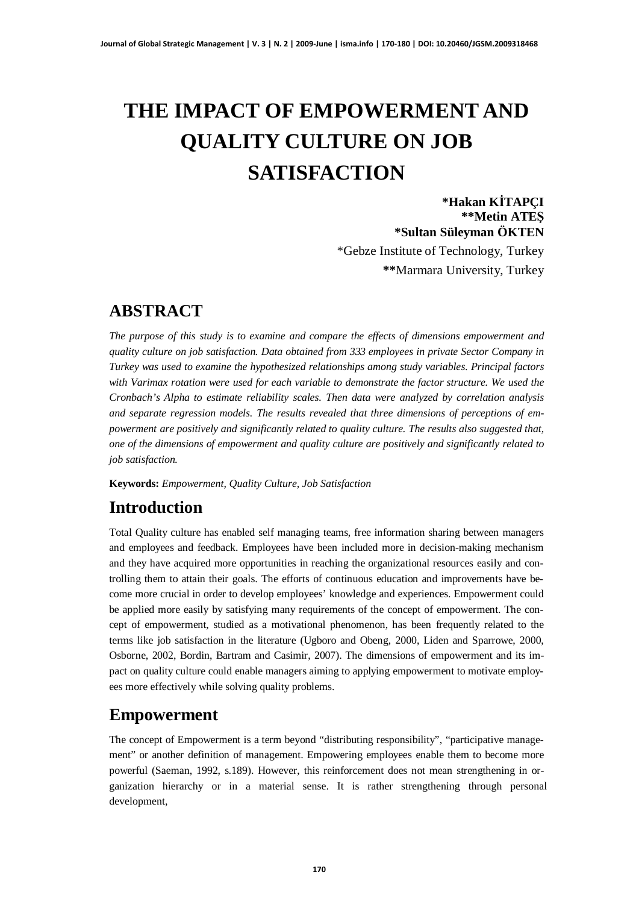# **THE IMPACT OF EMPOWERMENT AND QUALITY CULTURE ON JOB SATISFACTION**

**\*Hakan KøTAPÇI \*\*Metin ATEù \*Sultan Süleyman ÖKTEN** \*Gebze Institute of Technology, Turkey

**\*\***Marmara University, Turkey

## **ABSTRACT**

*The purpose of this study is to examine and compare the effects of dimensions empowerment and quality culture on job satisfaction. Data obtained from 333 employees in private Sector Company in Turkey was used to examine the hypothesized relationships among study variables. Principal factors with Varimax rotation were used for each variable to demonstrate the factor structure. We used the Cronbach's Alpha to estimate reliability scales. Then data were analyzed by correlation analysis and separate regression models. The results revealed that three dimensions of perceptions of empowerment are positively and significantly related to quality culture. The results also suggested that, one of the dimensions of empowerment and quality culture are positively and significantly related to job satisfaction.*

**Keywords:** *Empowerment, Quality Culture, Job Satisfaction*

## **Introduction**

Total Quality culture has enabled self managing teams, free information sharing between managers and employees and feedback. Employees have been included more in decision-making mechanism and they have acquired more opportunities in reaching the organizational resources easily and controlling them to attain their goals. The efforts of continuous education and improvements have become more crucial in order to develop employees' knowledge and experiences. Empowerment could be applied more easily by satisfying many requirements of the concept of empowerment. The concept of empowerment, studied as a motivational phenomenon, has been frequently related to the terms like job satisfaction in the literature (Ugboro and Obeng, 2000, Liden and Sparrowe, 2000, Osborne, 2002, Bordin, Bartram and Casimir, 2007). The dimensions of empowerment and its impact on quality culture could enable managers aiming to applying empowerment to motivate employees more effectively while solving quality problems.

## **Empowerment**

The concept of Empowerment is a term beyond "distributing responsibility", "participative management" or another definition of management. Empowering employees enable them to become more powerful (Saeman, 1992, s.189). However, this reinforcement does not mean strengthening in organization hierarchy or in a material sense. It is rather strengthening through personal development,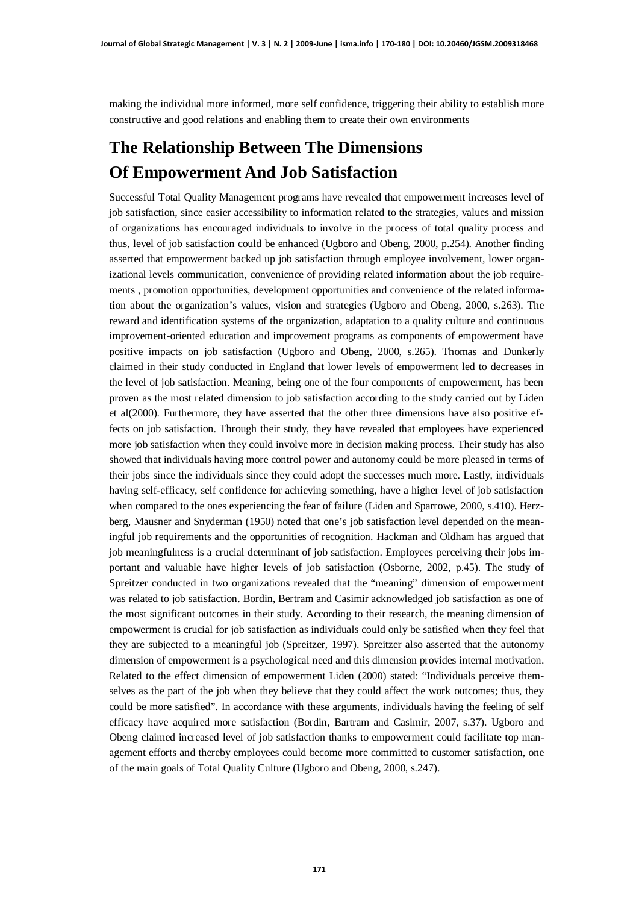making the individual more informed, more self confidence, triggering their ability to establish more constructive and good relations and enabling them to create their own environments

## **The Relationship Between The Dimensions Of Empowerment And Job Satisfaction**

Successful Total Quality Management programs have revealed that empowerment increases level of job satisfaction, since easier accessibility to information related to the strategies, values and mission of organizations has encouraged individuals to involve in the process of total quality process and thus, level of job satisfaction could be enhanced (Ugboro and Obeng, 2000, p.254). Another finding asserted that empowerment backed up job satisfaction through employee involvement, lower organizational levels communication, convenience of providing related information about the job requirements , promotion opportunities, development opportunities and convenience of the related information about the organization's values, vision and strategies (Ugboro and Obeng, 2000, s.263). The reward and identification systems of the organization, adaptation to a quality culture and continuous improvement-oriented education and improvement programs as components of empowerment have positive impacts on job satisfaction (Ugboro and Obeng, 2000, s.265). Thomas and Dunkerly claimed in their study conducted in England that lower levels of empowerment led to decreases in the level of job satisfaction. Meaning, being one of the four components of empowerment, has been proven as the most related dimension to job satisfaction according to the study carried out by Liden et al(2000). Furthermore, they have asserted that the other three dimensions have also positive effects on job satisfaction. Through their study, they have revealed that employees have experienced more job satisfaction when they could involve more in decision making process. Their study has also showed that individuals having more control power and autonomy could be more pleased in terms of their jobs since the individuals since they could adopt the successes much more. Lastly, individuals having self-efficacy, self confidence for achieving something, have a higher level of job satisfaction when compared to the ones experiencing the fear of failure (Liden and Sparrowe, 2000, s.410). Herzberg, Mausner and Snyderman (1950) noted that one's job satisfaction level depended on the meaningful job requirements and the opportunities of recognition. Hackman and Oldham has argued that job meaningfulness is a crucial determinant of job satisfaction. Employees perceiving their jobs important and valuable have higher levels of job satisfaction (Osborne, 2002, p.45). The study of Spreitzer conducted in two organizations revealed that the "meaning" dimension of empowerment was related to job satisfaction. Bordin, Bertram and Casimir acknowledged job satisfaction as one of the most significant outcomes in their study. According to their research, the meaning dimension of empowerment is crucial for job satisfaction as individuals could only be satisfied when they feel that they are subjected to a meaningful job (Spreitzer, 1997). Spreitzer also asserted that the autonomy dimension of empowerment is a psychological need and this dimension provides internal motivation. Related to the effect dimension of empowerment Liden (2000) stated: "Individuals perceive themselves as the part of the job when they believe that they could affect the work outcomes; thus, they could be more satisfied". In accordance with these arguments, individuals having the feeling of self efficacy have acquired more satisfaction (Bordin, Bartram and Casimir, 2007, s.37). Ugboro and Obeng claimed increased level of job satisfaction thanks to empowerment could facilitate top management efforts and thereby employees could become more committed to customer satisfaction, one of the main goals of Total Quality Culture (Ugboro and Obeng, 2000, s.247).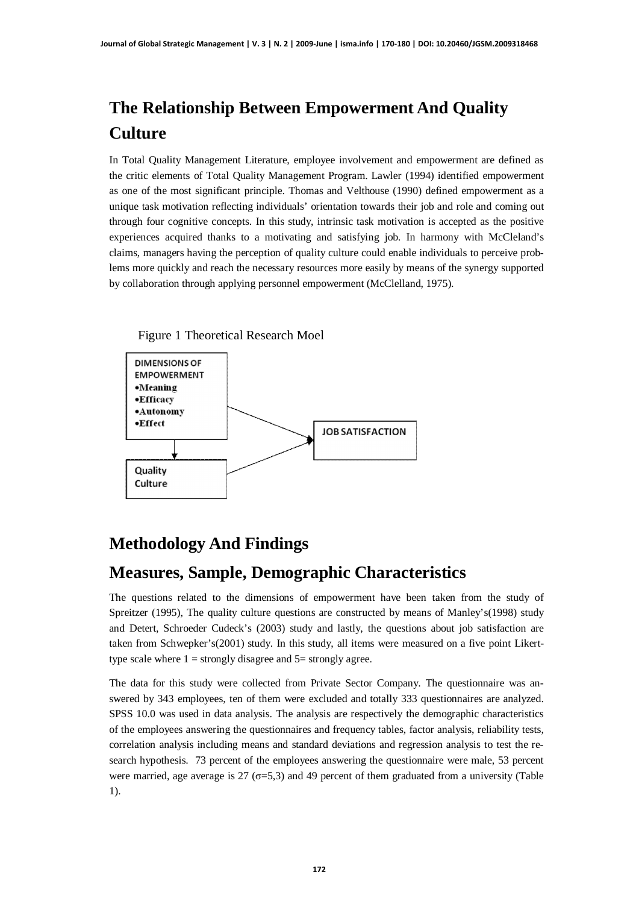## **The Relationship Between Empowerment And Quality Culture**

In Total Quality Management Literature, employee involvement and empowerment are defined as the critic elements of Total Quality Management Program. Lawler (1994) identified empowerment as one of the most significant principle. Thomas and Velthouse (1990) defined empowerment as a unique task motivation reflecting individuals' orientation towards their job and role and coming out through four cognitive concepts. In this study, intrinsic task motivation is accepted as the positive experiences acquired thanks to a motivating and satisfying job. In harmony with McCleland's claims, managers having the perception of quality culture could enable individuals to perceive problems more quickly and reach the necessary resources more easily by means of the synergy supported by collaboration through applying personnel empowerment (McClelland, 1975).



## **Methodology And Findings**

## **Measures, Sample, Demographic Characteristics**

The questions related to the dimensions of empowerment have been taken from the study of Spreitzer (1995), The quality culture questions are constructed by means of Manley's(1998) study and Detert, Schroeder Cudeck's (2003) study and lastly, the questions about job satisfaction are taken from Schwepker's(2001) study. In this study, all items were measured on a five point Likerttype scale where  $1 =$  strongly disagree and  $5 =$  strongly agree.

The data for this study were collected from Private Sector Company. The questionnaire was answered by 343 employees, ten of them were excluded and totally 333 questionnaires are analyzed. SPSS 10.0 was used in data analysis. The analysis are respectively the demographic characteristics of the employees answering the questionnaires and frequency tables, factor analysis, reliability tests, correlation analysis including means and standard deviations and regression analysis to test the research hypothesis. 73 percent of the employees answering the questionnaire were male, 53 percent were married, age average is 27 ( $\sigma$ =5,3) and 49 percent of them graduated from a university (Table 1).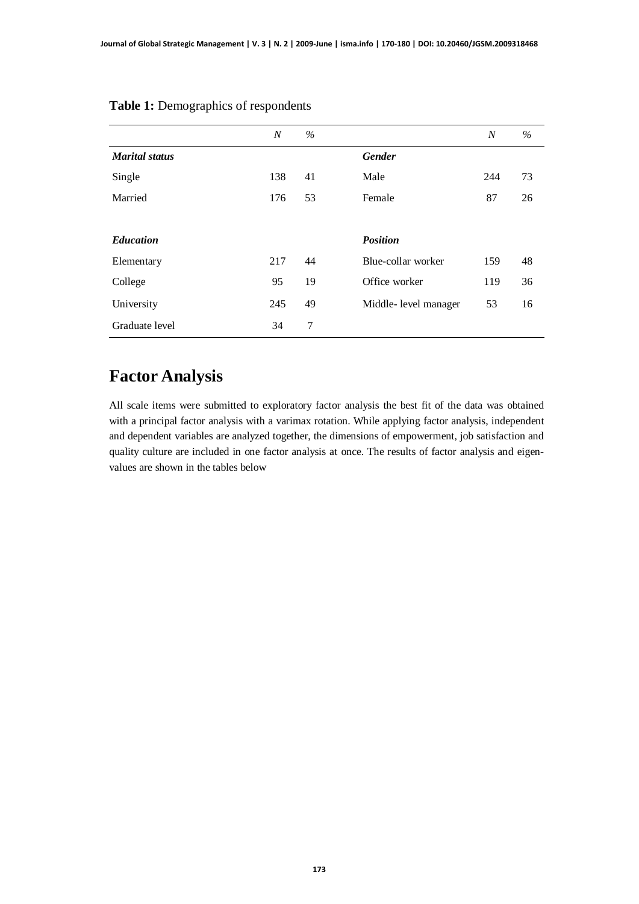|                       | $\boldsymbol{N}$ | $\%$ |                       | $\boldsymbol{N}$ | $\%$ |
|-----------------------|------------------|------|-----------------------|------------------|------|
| <b>Marital</b> status |                  |      | <b>Gender</b>         |                  |      |
| Single                | 138              | 41   | Male                  | 244              | 73   |
| Married               | 176              | 53   | Female                | 87               | 26   |
|                       |                  |      |                       |                  |      |
| <b>Education</b>      |                  |      | <b>Position</b>       |                  |      |
| Elementary            | 217              | 44   | Blue-collar worker    | 159              | 48   |
| College               | 95               | 19   | Office worker         | 119              | 36   |
| University            | 245              | 49   | Middle- level manager | 53               | 16   |
| Graduate level        | 34               | 7    |                       |                  |      |

#### **Table 1:** Demographics of respondents

## **Factor Analysis**

All scale items were submitted to exploratory factor analysis the best fit of the data was obtained with a principal factor analysis with a varimax rotation. While applying factor analysis, independent and dependent variables are analyzed together, the dimensions of empowerment, job satisfaction and quality culture are included in one factor analysis at once. The results of factor analysis and eigenvalues are shown in the tables below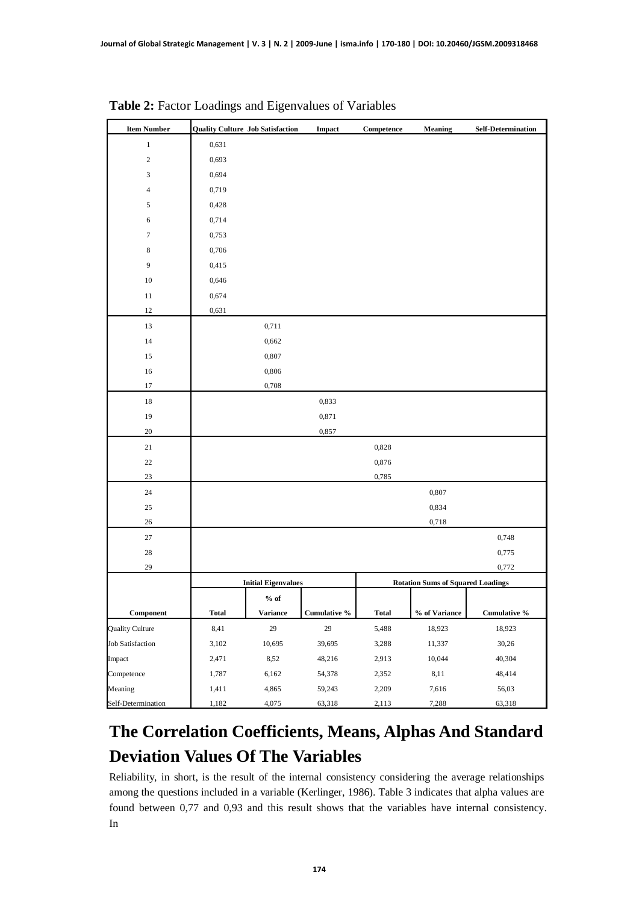| <b>Item Number</b>                                | <b>Quality Culture Job Satisfaction</b> |                            | Impact       | Competence   | <b>Meaning</b>                           | <b>Self-Determination</b> |
|---------------------------------------------------|-----------------------------------------|----------------------------|--------------|--------------|------------------------------------------|---------------------------|
| $\,1$                                             | 0,631                                   |                            |              |              |                                          |                           |
| $\sqrt{2}$                                        | 0,693                                   |                            |              |              |                                          |                           |
| 3                                                 | 0,694                                   |                            |              |              |                                          |                           |
| 4                                                 | 0,719                                   |                            |              |              |                                          |                           |
| 5                                                 | 0,428                                   |                            |              |              |                                          |                           |
| 6                                                 | 0,714                                   |                            |              |              |                                          |                           |
| 7                                                 | 0,753                                   |                            |              |              |                                          |                           |
| 8                                                 | 0,706                                   |                            |              |              |                                          |                           |
| 9                                                 | 0,415                                   |                            |              |              |                                          |                           |
| $10\,$                                            | 0,646                                   |                            |              |              |                                          |                           |
| $11\,$                                            | 0,674                                   |                            |              |              |                                          |                           |
| 12                                                | 0,631                                   |                            |              |              |                                          |                           |
| 13                                                |                                         | 0,711                      |              |              |                                          |                           |
| 14                                                |                                         | 0,662                      |              |              |                                          |                           |
| 15                                                |                                         | 0,807                      |              |              |                                          |                           |
| 16                                                |                                         | 0,806                      |              |              |                                          |                           |
| $17\,$                                            |                                         | 0,708                      |              |              |                                          |                           |
| $18\,$                                            |                                         |                            | 0,833        |              |                                          |                           |
| 19                                                |                                         |                            | 0,871        |              |                                          |                           |
| 20                                                |                                         |                            | 0,857        |              |                                          |                           |
| $21\,$                                            |                                         |                            |              | 0,828        |                                          |                           |
| $22\,$                                            |                                         |                            |              | 0,876        |                                          |                           |
| 23                                                |                                         |                            |              | 0,785        |                                          |                           |
| 24                                                |                                         |                            |              |              | 0,807                                    |                           |
| 25                                                |                                         |                            |              |              | 0,834                                    |                           |
| 26                                                |                                         |                            |              |              | 0,718                                    |                           |
| $27\,$                                            |                                         |                            |              |              |                                          | 0,748                     |
| 28                                                |                                         |                            |              |              |                                          | 0,775                     |
| 29                                                |                                         |                            |              |              |                                          | 0,772                     |
|                                                   |                                         | <b>Initial Eigenvalues</b> |              |              | <b>Rotation Sums of Squared Loadings</b> |                           |
|                                                   |                                         | $%$ of                     |              |              |                                          |                           |
| $\begin{array}{c} \textbf{Component} \end{array}$ | <b>Total</b>                            | <b>Variance</b>            | Cumulative % | <b>Total</b> | % of Variance                            | Cumulative %              |
| <b>Quality Culture</b>                            | 8,41                                    | 29                         | $29\,$       | 5,488        | 18,923                                   | 18,923                    |
| <b>Job Satisfaction</b>                           | 3,102                                   | 10,695                     | 39,695       | 3,288        | 11,337                                   | 30,26                     |
| Impact                                            | 2,471                                   | 8,52                       | 48,216       | 2,913        | 10,044                                   | 40,304                    |
| Competence                                        | 1,787                                   | 6,162                      | 54,378       | 2,352        | 8,11                                     | 48,414                    |
| Meaning                                           | 1,411                                   | 4,865                      | 59,243       | 2,209        | 7,616                                    | 56,03                     |
| Self-Determination                                | 1,182                                   | 4,075                      | 63,318       | 2,113        | 7,288                                    | 63,318                    |

**Table 2:** Factor Loadings and Eigenvalues of Variables

## **The Correlation Coefficients, Means, Alphas And Standard Deviation Values Of The Variables**

Reliability, in short, is the result of the internal consistency considering the average relationships among the questions included in a variable (Kerlinger, 1986). Table 3 indicates that alpha values are found between 0,77 and 0,93 and this result shows that the variables have internal consistency. In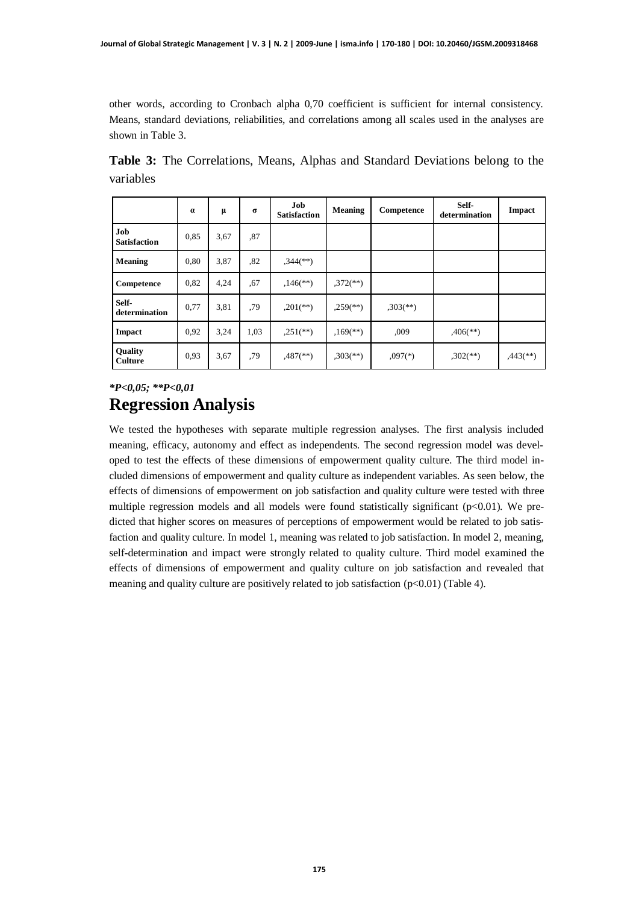other words, according to Cronbach alpha 0,70 coefficient is sufficient for internal consistency. Means, standard deviations, reliabilities, and correlations among all scales used in the analyses are shown in Table 3.

|           |  |  |  |  | <b>Table 3:</b> The Correlations, Means, Alphas and Standard Deviations belong to the |  |  |
|-----------|--|--|--|--|---------------------------------------------------------------------------------------|--|--|
| variables |  |  |  |  |                                                                                       |  |  |
|           |  |  |  |  |                                                                                       |  |  |

|                                  | $\alpha$ | μ    | $\sigma$ | Job<br><b>Satisfaction</b> | Meaning                  | Competence               | Self-<br>determination | Impact                 |
|----------------------------------|----------|------|----------|----------------------------|--------------------------|--------------------------|------------------------|------------------------|
| Job<br><b>Satisfaction</b>       | 0,85     | 3,67 | ,87      |                            |                          |                          |                        |                        |
| <b>Meaning</b>                   | 0.80     | 3,87 | .82      | $,344$ (**)                |                          |                          |                        |                        |
| Competence                       | 0,82     | 4,24 | .67      | $,146$ <sup>**</sup> )     | $.372$ <sup>(**)</sup> ) |                          |                        |                        |
| Self-<br>determination           | 0,77     | 3,81 | .79      | $,201$ <sup>**</sup> )     | $.259$ <sup>(**)</sup> ) | $,303$ <sup>(**)</sup> ) |                        |                        |
| <b>Impact</b>                    | 0,92     | 3.24 | 1,03     | $,251$ (**)                | $,169$ <sup>(**)</sup> ) | ,009                     | $,406$ <sup>**</sup> ) |                        |
| <b>Quality</b><br><b>Culture</b> | 0,93     | 3,67 | ,79      | $,487$ <sup>**</sup> )     | $,303$ <sup>(**)</sup> ) | $,097$ <sup>(*)</sup> )  | $,302$ <sup>**</sup> ) | $,443$ <sup>**</sup> ) |

### *\*P<0,05; \*\*P<0,01* **Regression Analysis**

We tested the hypotheses with separate multiple regression analyses. The first analysis included meaning, efficacy, autonomy and effect as independents. The second regression model was developed to test the effects of these dimensions of empowerment quality culture. The third model included dimensions of empowerment and quality culture as independent variables. As seen below, the effects of dimensions of empowerment on job satisfaction and quality culture were tested with three multiple regression models and all models were found statistically significant ( $p<0.01$ ). We predicted that higher scores on measures of perceptions of empowerment would be related to job satisfaction and quality culture. In model 1, meaning was related to job satisfaction. In model 2, meaning, self-determination and impact were strongly related to quality culture. Third model examined the effects of dimensions of empowerment and quality culture on job satisfaction and revealed that meaning and quality culture are positively related to job satisfaction  $(p<0.01)$  (Table 4).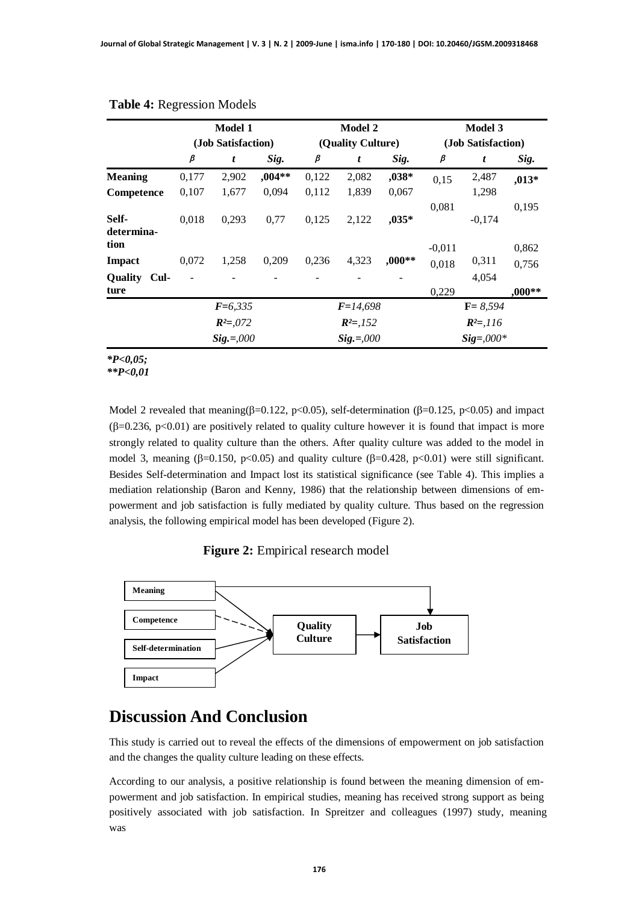|                                            | <b>Model 1</b> |                    |          |       |                   | Model 2  | Model 3            |          |                |  |
|--------------------------------------------|----------------|--------------------|----------|-------|-------------------|----------|--------------------|----------|----------------|--|
|                                            |                | (Job Satisfaction) |          |       | (Quality Culture) |          | (Job Satisfaction) |          |                |  |
|                                            | $\pmb{\beta}$  | t                  | Sig.     | β     | t                 | Sig.     | β                  | t        | Sig.           |  |
| <b>Meaning</b>                             | 0,177          | 2,902              | $,004**$ | 0,122 | 2,082             | ,038*    | 0,15               | 2,487    | $,013*$        |  |
| Competence                                 | 0,107          | 1,677              | 0,094    | 0,112 | 1,839             | 0,067    |                    | 1,298    |                |  |
| Self-<br>determina-                        | 0,018          | 0,293              | 0,77     | 0,125 | 2,122             | $,035*$  | 0,081              | $-0,174$ | 0,195          |  |
| tion<br><b>Impact</b>                      | 0,072          | 1,258              | 0,209    | 0,236 | 4,323             | $,000**$ | $-0,011$<br>0,018  | 0,311    | 0,862<br>0,756 |  |
| <b>Quality</b><br>$\mathbf{C}$ ul-<br>ture |                |                    |          |       |                   |          | 0,229              | 4,054    | $,000**$       |  |
|                                            |                | $F=6,335$          |          |       | $F=14,698$        |          | $F = 8,594$        |          |                |  |
|                                            |                | $R^2 = 0.072$      |          |       | $R^2 = 152$       |          |                    |          |                |  |
|                                            |                | $Sig.=,000$        |          |       | $Sig.=,000$       |          | $Sig = 0.000*$     |          |                |  |

#### **Table 4:** Regression Models

*\*P<0,05;*

*\*\*P<0,01*

Model 2 revealed that meaning( $\beta$ =0.122, p<0.05), self-determination ( $\beta$ =0.125, p<0.05) and impact  $(\beta=0.236, p<0.01)$  are positively related to quality culture however it is found that impact is more strongly related to quality culture than the others. After quality culture was added to the model in model 3, meaning ( $\beta$ =0.150, p<0.05) and quality culture ( $\beta$ =0.428, p<0.01) were still significant. Besides Self-determination and Impact lost its statistical significance (see Table 4). This implies a mediation relationship (Baron and Kenny, 1986) that the relationship between dimensions of empowerment and job satisfaction is fully mediated by quality culture. Thus based on the regression analysis, the following empirical model has been developed (Figure 2).

**Figure 2:** Empirical research model



### **Discussion And Conclusion**

This study is carried out to reveal the effects of the dimensions of empowerment on job satisfaction and the changes the quality culture leading on these effects.

According to our analysis, a positive relationship is found between the meaning dimension of empowerment and job satisfaction. In empirical studies, meaning has received strong support as being positively associated with job satisfaction. In Spreitzer and colleagues (1997) study, meaning was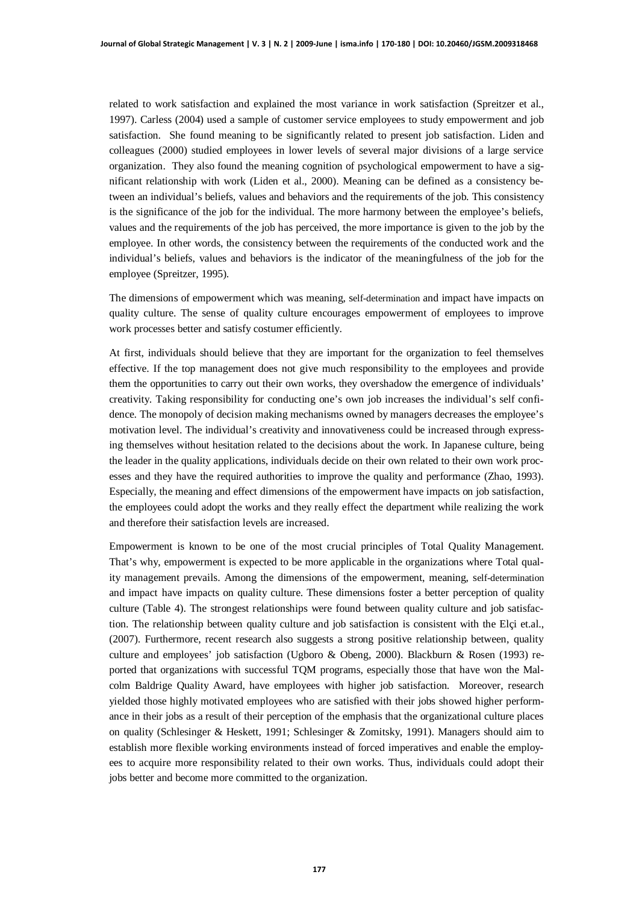related to work satisfaction and explained the most variance in work satisfaction (Spreitzer et al., 1997). Carless (2004) used a sample of customer service employees to study empowerment and job satisfaction. She found meaning to be significantly related to present job satisfaction. Liden and colleagues (2000) studied employees in lower levels of several major divisions of a large service organization. They also found the meaning cognition of psychological empowerment to have a significant relationship with work (Liden et al., 2000). Meaning can be defined as a consistency between an individual's beliefs, values and behaviors and the requirements of the job. This consistency is the significance of the job for the individual. The more harmony between the employee's beliefs, values and the requirements of the job has perceived, the more importance is given to the job by the employee. In other words, the consistency between the requirements of the conducted work and the individual's beliefs, values and behaviors is the indicator of the meaningfulness of the job for the employee (Spreitzer, 1995).

The dimensions of empowerment which was meaning, self-determination and impact have impacts on quality culture. The sense of quality culture encourages empowerment of employees to improve work processes better and satisfy costumer efficiently.

At first, individuals should believe that they are important for the organization to feel themselves effective. If the top management does not give much responsibility to the employees and provide them the opportunities to carry out their own works, they overshadow the emergence of individuals' creativity. Taking responsibility for conducting one's own job increases the individual's self confidence. The monopoly of decision making mechanisms owned by managers decreases the employee's motivation level. The individual's creativity and innovativeness could be increased through expressing themselves without hesitation related to the decisions about the work. In Japanese culture, being the leader in the quality applications, individuals decide on their own related to their own work processes and they have the required authorities to improve the quality and performance (Zhao, 1993). Especially, the meaning and effect dimensions of the empowerment have impacts on job satisfaction, the employees could adopt the works and they really effect the department while realizing the work and therefore their satisfaction levels are increased.

Empowerment is known to be one of the most crucial principles of Total Quality Management. That's why, empowerment is expected to be more applicable in the organizations where Total quality management prevails. Among the dimensions of the empowerment, meaning, self-determination and impact have impacts on quality culture. These dimensions foster a better perception of quality culture (Table 4). The strongest relationships were found between quality culture and job satisfaction. The relationship between quality culture and job satisfaction is consistent with the Elçi et.al., (2007). Furthermore, recent research also suggests a strong positive relationship between, quality culture and employees' job satisfaction (Ugboro & Obeng, 2000). Blackburn & Rosen (1993) reported that organizations with successful TQM programs, especially those that have won the Malcolm Baldrige Quality Award, have employees with higher job satisfaction. Moreover, research yielded those highly motivated employees who are satisfied with their jobs showed higher performance in their jobs as a result of their perception of the emphasis that the organizational culture places on quality (Schlesinger & Heskett, 1991; Schlesinger & Zomitsky, 1991). Managers should aim to establish more flexible working environments instead of forced imperatives and enable the employees to acquire more responsibility related to their own works. Thus, individuals could adopt their jobs better and become more committed to the organization.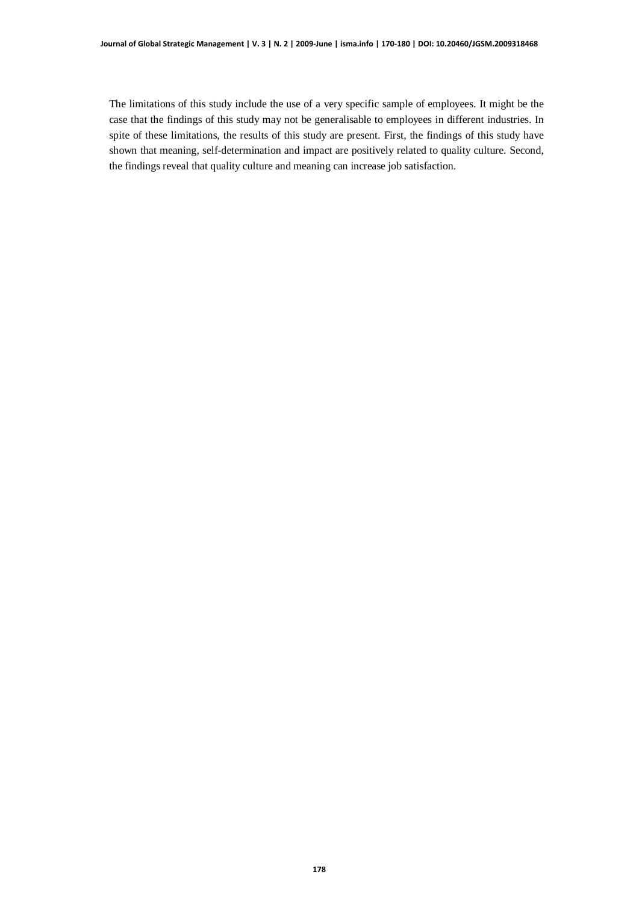The limitations of this study include the use of a very specific sample of employees. It might be the case that the findings of this study may not be generalisable to employees in different industries. In spite of these limitations, the results of this study are present. First, the findings of this study have shown that meaning, self-determination and impact are positively related to quality culture. Second, the findings reveal that quality culture and meaning can increase job satisfaction.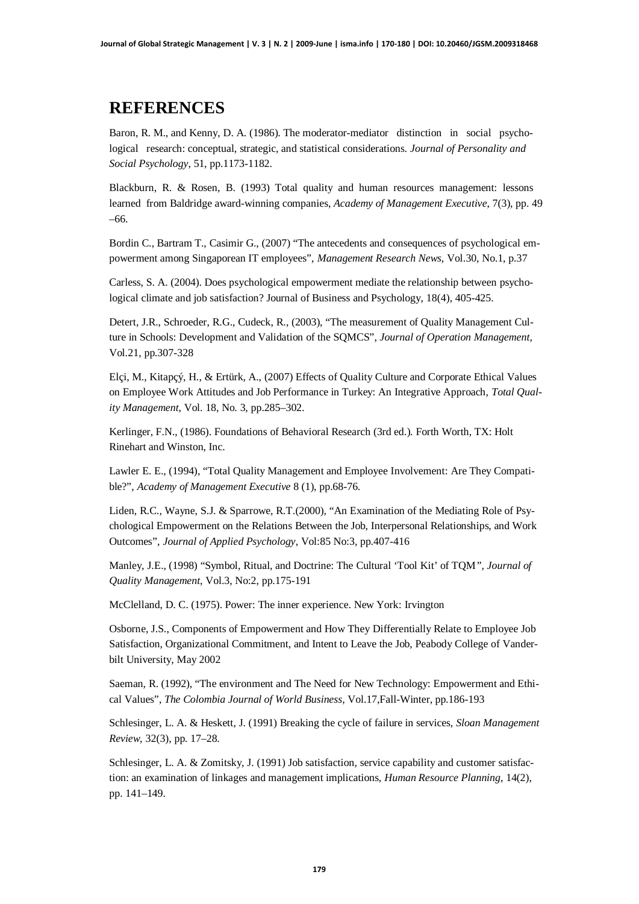### **REFERENCES**

Baron, R. M., and Kenny, D. A. (1986). The moderator-mediator distinction in social psychological research: conceptual, strategic, and statistical considerations. *Journal of Personality and Social Psychology*, 51, pp.1173-1182.

Blackburn, R. & Rosen, B. (1993) Total quality and human resources management: lessons learned from Baldridge award-winning companies, *Academy of Management Executive*, 7(3), pp. 49 –66.

Bordin C., Bartram T., Casimir G., (2007) "The antecedents and consequences of psychological empowerment among Singaporean IT employees", *Management Research News*, Vol.30, No.1, p.37

Carless, S. A. (2004). Does psychological empowerment mediate the relationship between psychological climate and job satisfaction? Journal of Business and Psychology, 18(4), 405-425.

Detert, J.R., Schroeder, R.G., Cudeck, R., (2003), "The measurement of Quality Management Culture in Schools: Development and Validation of the SQMCS", *Journal of Operation Management*, Vol.21, pp.307-328

Elçi, M., Kitapçý, H., & Ertürk, A., (2007) Effects of Quality Culture and Corporate Ethical Values on Employee Work Attitudes and Job Performance in Turkey: An Integrative Approach, *Total Quality Management*, Vol. 18, No. 3, pp.285–302.

Kerlinger, F.N., (1986). Foundations of Behavioral Research (3rd ed.). Forth Worth, TX: Holt Rinehart and Winston, Inc.

Lawler E. E., (1994), "Total Quality Management and Employee Involvement: Are They Compatible?", *Academy of Management Executive* 8 (1), pp.68-76.

Liden, R.C., Wayne, S.J. & Sparrowe, R.T.(2000), "An Examination of the Mediating Role of Psychological Empowerment on the Relations Between the Job, Interpersonal Relationships, and Work Outcomes", *Journal of Applied Psychology*, Vol:85 No:3, pp.407-416

Manley, J.E., (1998) "Symbol, Ritual, and Doctrine: The Cultural 'Tool Kit' of TQM*", Journal of Quality Management*, Vol.3, No:2, pp.175-191

McClelland, D. C. (1975). Power: The inner experience. New York: Irvington

Osborne, J.S., Components of Empowerment and How They Differentially Relate to Employee Job Satisfaction, Organizational Commitment, and Intent to Leave the Job, Peabody College of Vanderbilt University, May 2002

Saeman, R. (1992), "The environment and The Need for New Technology: Empowerment and Ethical Values", *The Colombia Journal of World Business*, Vol.17,Fall-Winter, pp.186-193

Schlesinger, L. A. & Heskett, J. (1991) Breaking the cycle of failure in services, *Sloan Management Review*, 32(3), pp. 17–28.

Schlesinger, L. A. & Zomitsky, J. (1991) Job satisfaction, service capability and customer satisfaction: an examination of linkages and management implications, *Human Resource Planning*, 14(2), pp. 141–149.